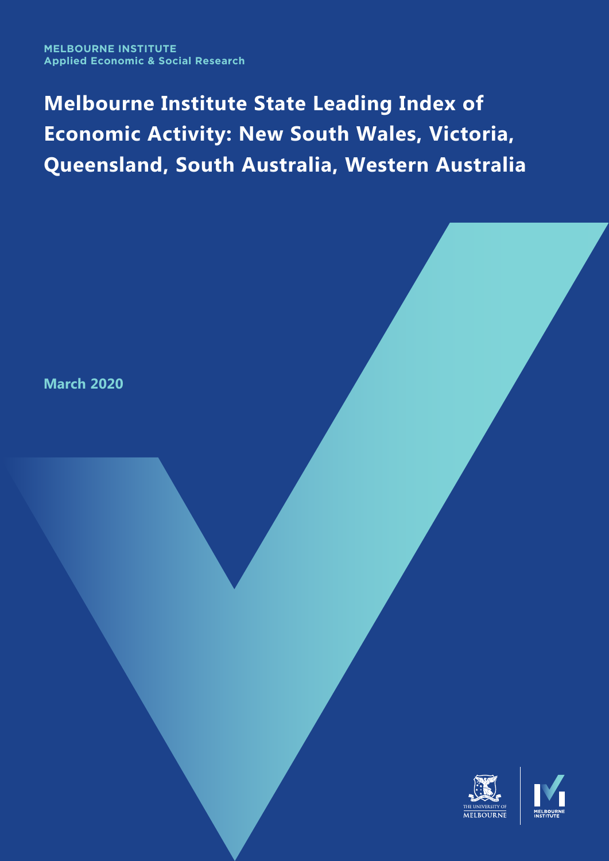# **Melbourne Institute State Leading Index of Economic Activity: New South Wales, Victoria, Queensland, South Australia, Western Australia**

**March 2020**

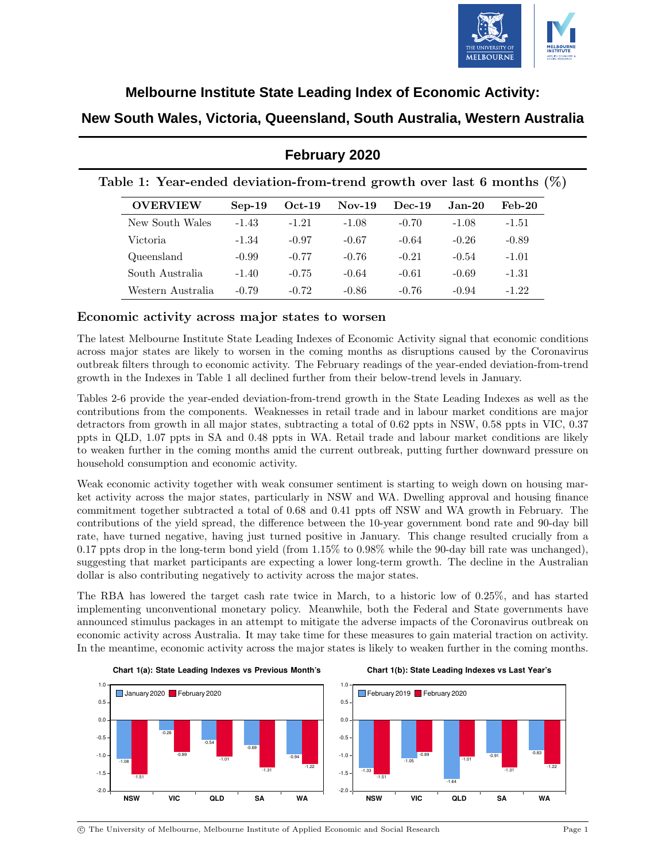

### **Melbourne Institute State Leading Index of Economic Activity:**

### **New South Wales, Victoria, Queensland, South Australia, Western Australia**

|                                                                           |          |          | <b>February 2020</b> |          |          |          |
|---------------------------------------------------------------------------|----------|----------|----------------------|----------|----------|----------|
| Table 1: Year-ended deviation-from-trend growth over last 6 months $(\%)$ |          |          |                      |          |          |          |
| <b>OVERVIEW</b>                                                           | $Sep-19$ | $Oct-19$ | $Nov-19$             | $Dec-19$ | $Jan-20$ | $Feb-20$ |
| New South Wales                                                           | $-1.43$  | $-1.21$  | $-1.08$              | $-0.70$  | $-1.08$  | $-1.51$  |
| Victoria                                                                  | $-1.34$  | $-0.97$  | $-0.67$              | $-0.64$  | $-0.26$  | $-0.89$  |
| Queensland                                                                | $-0.99$  | $-0.77$  | $-0.76$              | $-0.21$  | $-0.54$  | $-1.01$  |
| South Australia                                                           | $-1.40$  | $-0.75$  | $-0.64$              | $-0.61$  | $-0.69$  | $-1.31$  |
| Western Australia                                                         | $-0.79$  | $-0.72$  | $-0.86$              | $-0.76$  | $-0.94$  | $-1.22$  |

### **February 2020**

#### Economic activity across major states to worsen

The latest Melbourne Institute State Leading Indexes of Economic Activity signal that economic conditions across major states are likely to worsen in the coming months as disruptions caused by the Coronavirus outbreak filters through to economic activity. The February readings of the year-ended deviation-from-trend growth in the Indexes in Table 1 all declined further from their below-trend levels in January.

Tables 2-6 provide the year-ended deviation-from-trend growth in the State Leading Indexes as well as the contributions from the components. Weaknesses in retail trade and in labour market conditions are major detractors from growth in all major states, subtracting a total of 0.62 ppts in NSW, 0.58 ppts in VIC, 0.37 ppts in QLD, 1.07 ppts in SA and 0.48 ppts in WA. Retail trade and labour market conditions are likely to weaken further in the coming months amid the current outbreak, putting further downward pressure on household consumption and economic activity.

Weak economic activity together with weak consumer sentiment is starting to weigh down on housing market activity across the major states, particularly in NSW and WA. Dwelling approval and housing finance commitment together subtracted a total of 0.68 and 0.41 ppts off NSW and WA growth in February. The contributions of the yield spread, the difference between the 10-year government bond rate and 90-day bill rate, have turned negative, having just turned positive in January. This change resulted crucially from a 0.17 ppts drop in the long-term bond yield (from 1.15% to 0.98% while the 90-day bill rate was unchanged), suggesting that market participants are expecting a lower long-term growth. The decline in the Australian dollar is also contributing negatively to activity across the major states.

The RBA has lowered the target cash rate twice in March, to a historic low of 0.25%, and has started implementing unconventional monetary policy. Meanwhile, both the Federal and State governments have announced stimulus packages in an attempt to mitigate the adverse impacts of the Coronavirus outbreak on economic activity across Australia. It may take time for these measures to gain material traction on activity. In the meantime, economic activity across the major states is likely to weaken further in the coming months.



c The University of Melbourne, Melbourne Institute of Applied Economic and Social Research Page 1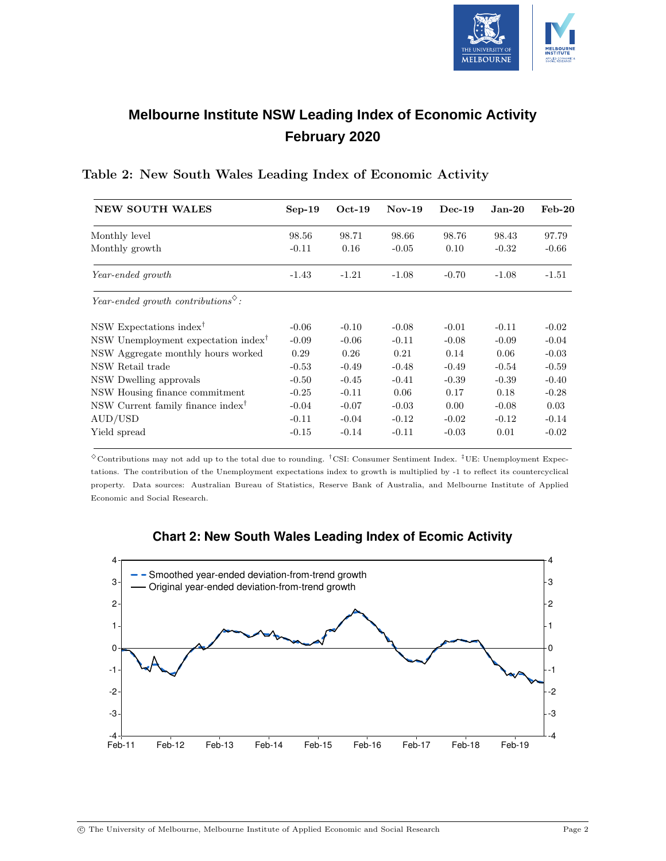

## **Melbourne Institute NSW Leading Index of Economic Activity February 2020**

| <b>NEW SOUTH WALES</b>                                             | $Sep-19$ | $Oct-19$ | $Nov-19$ | $Dec-19$ | $Jan-20$ | $Feb-20$ |
|--------------------------------------------------------------------|----------|----------|----------|----------|----------|----------|
| Monthly level                                                      | 98.56    | 98.71    | 98.66    | 98.76    | 98.43    | 97.79    |
| Monthly growth                                                     | $-0.11$  | 0.16     | $-0.05$  | 0.10     | $-0.32$  | $-0.66$  |
| Year-ended growth                                                  | $-1.43$  | $-1.21$  | $-1.08$  | $-0.70$  | $-1.08$  | $-1.51$  |
| Year-ended growth contributions <sup><math>\diamond</math></sup> : |          |          |          |          |          |          |
| NSW Expectations index <sup>†</sup>                                | $-0.06$  | $-0.10$  | $-0.08$  | $-0.01$  | $-0.11$  | $-0.02$  |
| NSW Unemployment expectation index <sup>†</sup>                    | $-0.09$  | $-0.06$  | $-0.11$  | $-0.08$  | $-0.09$  | $-0.04$  |
| NSW Aggregate monthly hours worked                                 | 0.29     | 0.26     | 0.21     | 0.14     | 0.06     | $-0.03$  |
| NSW Retail trade                                                   | $-0.53$  | $-0.49$  | $-0.48$  | $-0.49$  | $-0.54$  | $-0.59$  |
| NSW Dwelling approvals                                             | $-0.50$  | $-0.45$  | $-0.41$  | $-0.39$  | $-0.39$  | $-0.40$  |
| NSW Housing finance commitment                                     | $-0.25$  | $-0.11$  | 0.06     | 0.17     | 0.18     | $-0.28$  |
| NSW Current family finance index <sup>†</sup>                      | $-0.04$  | $-0.07$  | $-0.03$  | 0.00     | $-0.08$  | 0.03     |
| AUD/USD                                                            | $-0.11$  | $-0.04$  | $-0.12$  | $-0.02$  | $-0.12$  | $-0.14$  |
| Yield spread                                                       | $-0.15$  | $-0.14$  | $-0.11$  | $-0.03$  | 0.01     | $-0.02$  |

#### Table 2: New South Wales Leading Index of Economic Activity

 $\degree$ Contributions may not add up to the total due to rounding. <sup>†</sup>CSI: Consumer Sentiment Index. <sup>‡</sup>UE: Unemployment Expectations. The contribution of the Unemployment expectations index to growth is multiplied by -1 to reflect its countercyclical property. Data sources: Australian Bureau of Statistics, Reserve Bank of Australia, and Melbourne Institute of Applied Economic and Social Research.



### **Chart 2: New South Wales Leading Index of Ecomic Activity**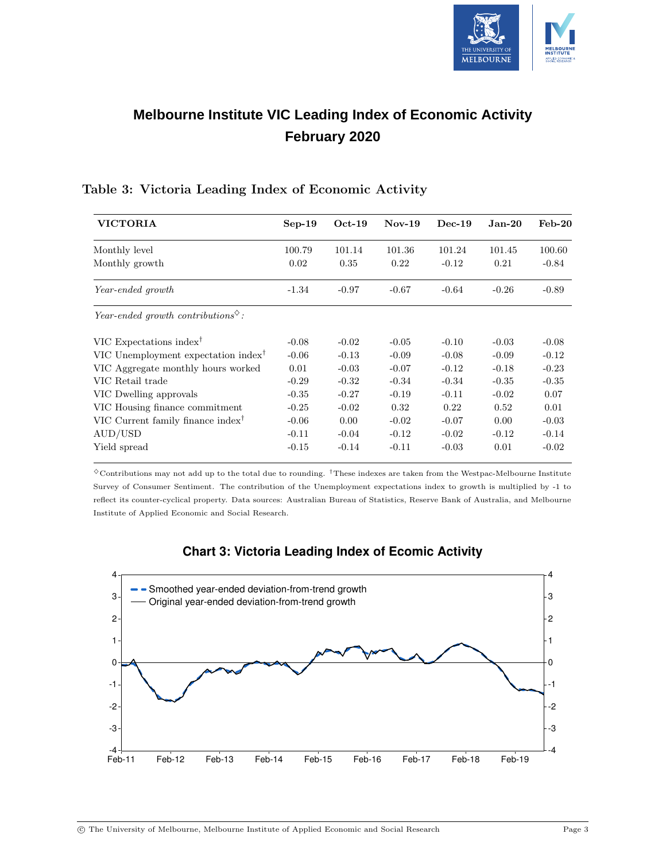

## **Melbourne Institute VIC Leading Index of Economic Activity February 2020**

| <b>VICTORIA</b>                                                    | $Sep-19$ | $Oct-19$ | $Nov-19$ | $Dec-19$ | $Jan-20$ | $Feb-20$ |
|--------------------------------------------------------------------|----------|----------|----------|----------|----------|----------|
| Monthly level                                                      | 100.79   | 101.14   | 101.36   | 101.24   | 101.45   | 100.60   |
| Monthly growth                                                     | 0.02     | 0.35     | 0.22     | $-0.12$  | 0.21     | $-0.84$  |
| Year-ended growth                                                  | $-1.34$  | $-0.97$  | $-0.67$  | $-0.64$  | $-0.26$  | $-0.89$  |
| Year-ended growth contributions <sup><math>\diamond</math></sup> : |          |          |          |          |          |          |
| VIC Expectations index <sup>†</sup>                                | $-0.08$  | $-0.02$  | $-0.05$  | $-0.10$  | $-0.03$  | $-0.08$  |
| VIC Unemployment expectation index <sup>†</sup>                    | $-0.06$  | $-0.13$  | $-0.09$  | $-0.08$  | $-0.09$  | $-0.12$  |
| VIC Aggregate monthly hours worked                                 | 0.01     | $-0.03$  | $-0.07$  | $-0.12$  | $-0.18$  | $-0.23$  |
| VIC Retail trade                                                   | $-0.29$  | $-0.32$  | $-0.34$  | $-0.34$  | $-0.35$  | $-0.35$  |
| VIC Dwelling approvals                                             | $-0.35$  | $-0.27$  | $-0.19$  | $-0.11$  | $-0.02$  | 0.07     |
| VIC Housing finance commitment                                     | $-0.25$  | $-0.02$  | 0.32     | 0.22     | 0.52     | 0.01     |
| VIC Current family finance index <sup>†</sup>                      | $-0.06$  | 0.00     | $-0.02$  | $-0.07$  | 0.00     | $-0.03$  |
| AUD/USD                                                            | $-0.11$  | $-0.04$  | $-0.12$  | $-0.02$  | $-0.12$  | $-0.14$  |
| Yield spread                                                       | $-0.15$  | $-0.14$  | $-0.11$  | $-0.03$  | 0.01     | $-0.02$  |

### Table 3: Victoria Leading Index of Economic Activity

 $\degree$  Contributions may not add up to the total due to rounding. <sup>†</sup>These indexes are taken from the Westpac-Melbourne Institute Survey of Consumer Sentiment. The contribution of the Unemployment expectations index to growth is multiplied by -1 to reflect its counter-cyclical property. Data sources: Australian Bureau of Statistics, Reserve Bank of Australia, and Melbourne Institute of Applied Economic and Social Research.



### **Chart 3: Victoria Leading Index of Ecomic Activity**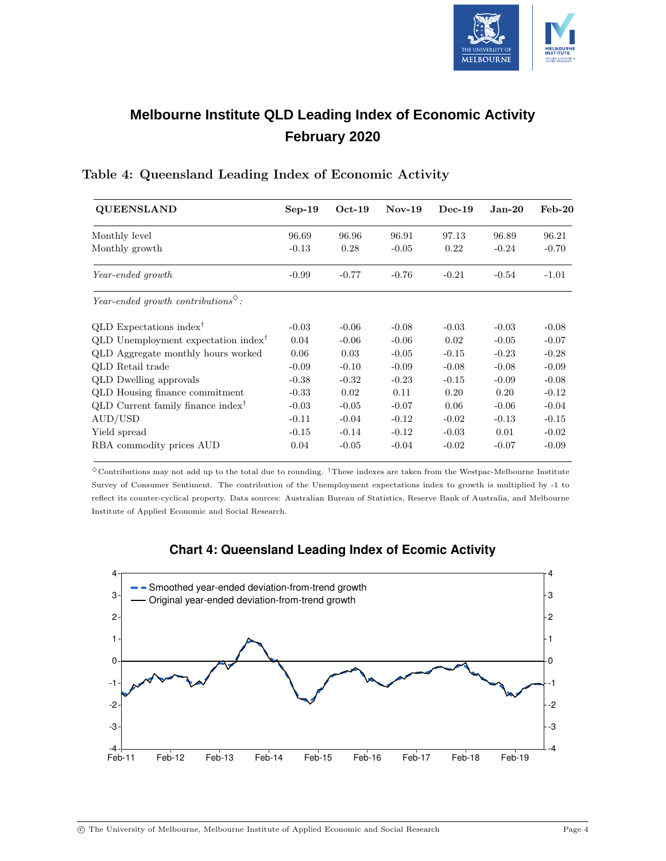

## **Melbourne Institute QLD Leading Index of Economic Activity February 2020**

| <b>QUEENSLAND</b>                                                  | $Sep-19$ | $Oct-19$ | $Nov-19$ | $Dec-19$ | $Jan-20$ | $\text{Feb-}20$ |
|--------------------------------------------------------------------|----------|----------|----------|----------|----------|-----------------|
| Monthly level                                                      | 96.69    | 96.96    | 96.91    | 97.13    | 96.89    | 96.21           |
| Monthly growth                                                     | $-0.13$  | 0.28     | $-0.05$  | 0.22     | $-0.24$  | $-0.70$         |
| Year-ended growth                                                  | $-0.99$  | $-0.77$  | $-0.76$  | $-0.21$  | $-0.54$  | $-1.01$         |
| Year-ended growth contributions <sup><math>\diamond</math></sup> : |          |          |          |          |          |                 |
| QLD Expectations index <sup>†</sup>                                | $-0.03$  | $-0.06$  | $-0.08$  | $-0.03$  | $-0.03$  | $-0.08$         |
| QLD Unemployment expectation index <sup>†</sup>                    | 0.04     | $-0.06$  | $-0.06$  | 0.02     | $-0.05$  | $-0.07$         |
| QLD Aggregate monthly hours worked                                 | 0.06     | 0.03     | $-0.05$  | $-0.15$  | $-0.23$  | $-0.28$         |
| QLD Retail trade                                                   | $-0.09$  | $-0.10$  | $-0.09$  | $-0.08$  | $-0.08$  | $-0.09$         |
| <b>QLD</b> Dwelling approvals                                      | $-0.38$  | $-0.32$  | $-0.23$  | $-0.15$  | $-0.09$  | $-0.08$         |
| QLD Housing finance commitment                                     | $-0.33$  | 0.02     | 0.11     | 0.20     | 0.20     | $-0.12$         |
| QLD Current family finance index <sup>†</sup>                      | $-0.03$  | $-0.05$  | $-0.07$  | 0.06     | $-0.06$  | $-0.04$         |
| AUD/USD                                                            | $-0.11$  | $-0.04$  | $-0.12$  | $-0.02$  | $-0.13$  | $-0.15$         |
| Yield spread                                                       | $-0.15$  | $-0.14$  | $-0.12$  | $-0.03$  | 0.01     | $-0.02$         |
| RBA commodity prices AUD                                           | 0.04     | $-0.05$  | $-0.04$  | $-0.02$  | $-0.07$  | $-0.09$         |

### Table 4: Queensland Leading Index of Economic Activity

 $\diamond$  Contributions may not add up to the total due to rounding. <sup>†</sup>These indexes are taken from the Westpac-Melbourne Institute Survey of Consumer Sentiment. The contribution of the Unemployment expectations index to growth is multiplied by -1 to reflect its counter-cyclical property. Data sources: Australian Bureau of Statistics, Reserve Bank of Australia, and Melbourne Institute of Applied Economic and Social Research.



### **Chart 4: Queensland Leading Index of Ecomic Activity**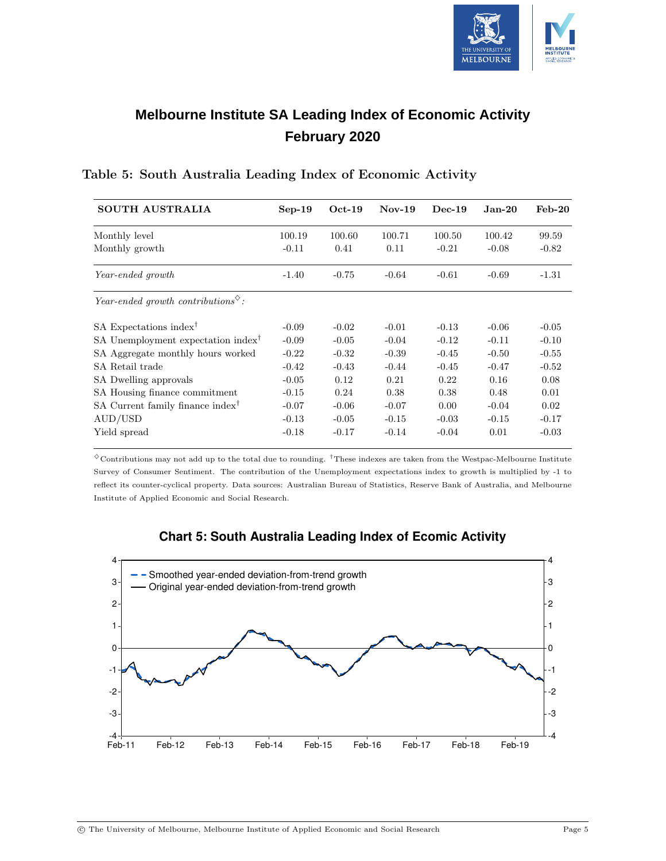

## **Melbourne Institute SA Leading Index of Economic Activity February 2020**

| <b>SOUTH AUSTRALIA</b>                                             | $Sep-19$ | $Oct-19$ | $Nov-19$ | $Dec-19$ | $Jan-20$ | $Feb-20$ |
|--------------------------------------------------------------------|----------|----------|----------|----------|----------|----------|
| Monthly level                                                      | 100.19   | 100.60   | 100.71   | 100.50   | 100.42   | 99.59    |
| Monthly growth                                                     | $-0.11$  | 0.41     | 0.11     | $-0.21$  | $-0.08$  | $-0.82$  |
| Year-ended growth                                                  | $-1.40$  | $-0.75$  | $-0.64$  | $-0.61$  | $-0.69$  | $-1.31$  |
| Year-ended growth contributions <sup><math>\diamond</math></sup> : |          |          |          |          |          |          |
| SA Expectations index <sup>†</sup>                                 | $-0.09$  | $-0.02$  | $-0.01$  | $-0.13$  | $-0.06$  | $-0.05$  |
| SA Unemployment expectation index <sup>†</sup>                     | $-0.09$  | $-0.05$  | $-0.04$  | $-0.12$  | $-0.11$  | $-0.10$  |
| SA Aggregate monthly hours worked                                  | $-0.22$  | $-0.32$  | $-0.39$  | $-0.45$  | $-0.50$  | $-0.55$  |
| SA Retail trade                                                    | $-0.42$  | $-0.43$  | $-0.44$  | $-0.45$  | $-0.47$  | $-0.52$  |
| SA Dwelling approvals                                              | $-0.05$  | 0.12     | 0.21     | 0.22     | 0.16     | 0.08     |
| SA Housing finance commitment                                      | $-0.15$  | 0.24     | 0.38     | 0.38     | 0.48     | 0.01     |
| SA Current family finance index <sup>†</sup>                       | $-0.07$  | $-0.06$  | $-0.07$  | 0.00     | $-0.04$  | 0.02     |
| AUD/USD                                                            | $-0.13$  | $-0.05$  | $-0.15$  | $-0.03$  | $-0.15$  | $-0.17$  |
| Yield spread                                                       | $-0.18$  | $-0.17$  | $-0.14$  | $-0.04$  | 0.01     | $-0.03$  |

### Table 5: South Australia Leading Index of Economic Activity

 $^\diamond$  Contributions may not add up to the total due to rounding.  $^\dagger$  These indexes are taken from the Westpac-Melbourne Institute Survey of Consumer Sentiment. The contribution of the Unemployment expectations index to growth is multiplied by -1 to reflect its counter-cyclical property. Data sources: Australian Bureau of Statistics, Reserve Bank of Australia, and Melbourne Institute of Applied Economic and Social Research.



### **Chart 5: South Australia Leading Index of Ecomic Activity**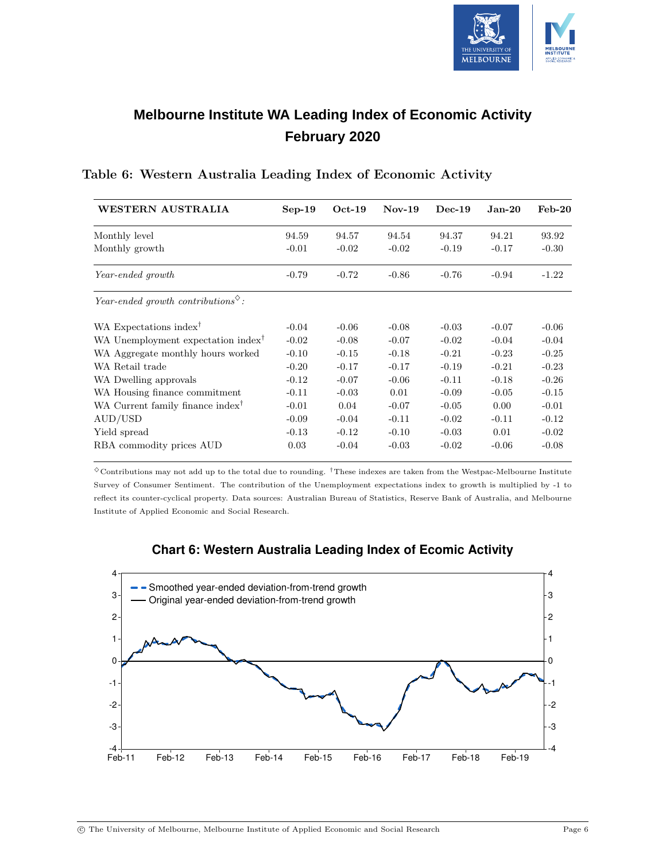

## **Melbourne Institute WA Leading Index of Economic Activity February 2020**

| WESTERN AUSTRALIA                                                  | $Sep-19$ | $Oct-19$ | $Nov-19$ | $Dec-19$ | $Jan-20$ | $Feb-20$ |
|--------------------------------------------------------------------|----------|----------|----------|----------|----------|----------|
| Monthly level                                                      | 94.59    | 94.57    | 94.54    | 94.37    | 94.21    | 93.92    |
| Monthly growth                                                     | $-0.01$  | $-0.02$  | $-0.02$  | $-0.19$  | $-0.17$  | $-0.30$  |
| Year-ended growth                                                  | $-0.79$  | $-0.72$  | $-0.86$  | $-0.76$  | $-0.94$  | $-1.22$  |
| Year-ended growth contributions <sup><math>\diamond</math></sup> : |          |          |          |          |          |          |
| WA Expectations index <sup>†</sup>                                 | $-0.04$  | $-0.06$  | $-0.08$  | $-0.03$  | $-0.07$  | $-0.06$  |
| WA Unemployment expectation index <sup>†</sup>                     | $-0.02$  | $-0.08$  | $-0.07$  | $-0.02$  | $-0.04$  | $-0.04$  |
| WA Aggregate monthly hours worked                                  | $-0.10$  | $-0.15$  | $-0.18$  | $-0.21$  | $-0.23$  | $-0.25$  |
| WA Retail trade                                                    | $-0.20$  | $-0.17$  | $-0.17$  | $-0.19$  | $-0.21$  | $-0.23$  |
| WA Dwelling approvals                                              | $-0.12$  | $-0.07$  | $-0.06$  | $-0.11$  | $-0.18$  | $-0.26$  |
| WA Housing finance commitment                                      | $-0.11$  | $-0.03$  | 0.01     | $-0.09$  | $-0.05$  | $-0.15$  |
| WA Current family finance index <sup>†</sup>                       | $-0.01$  | 0.04     | $-0.07$  | $-0.05$  | 0.00     | $-0.01$  |
| AUD/USD                                                            | $-0.09$  | $-0.04$  | $-0.11$  | $-0.02$  | $-0.11$  | $-0.12$  |
| Yield spread                                                       | $-0.13$  | $-0.12$  | $-0.10$  | $-0.03$  | 0.01     | $-0.02$  |
| RBA commodity prices AUD                                           | 0.03     | $-0.04$  | $-0.03$  | $-0.02$  | $-0.06$  | $-0.08$  |

#### Table 6: Western Australia Leading Index of Economic Activity

 $\degree$ Contributions may not add up to the total due to rounding. <sup>†</sup>These indexes are taken from the Westpac-Melbourne Institute Survey of Consumer Sentiment. The contribution of the Unemployment expectations index to growth is multiplied by -1 to reflect its counter-cyclical property. Data sources: Australian Bureau of Statistics, Reserve Bank of Australia, and Melbourne Institute of Applied Economic and Social Research.



### **Chart 6: Western Australia Leading Index of Ecomic Activity**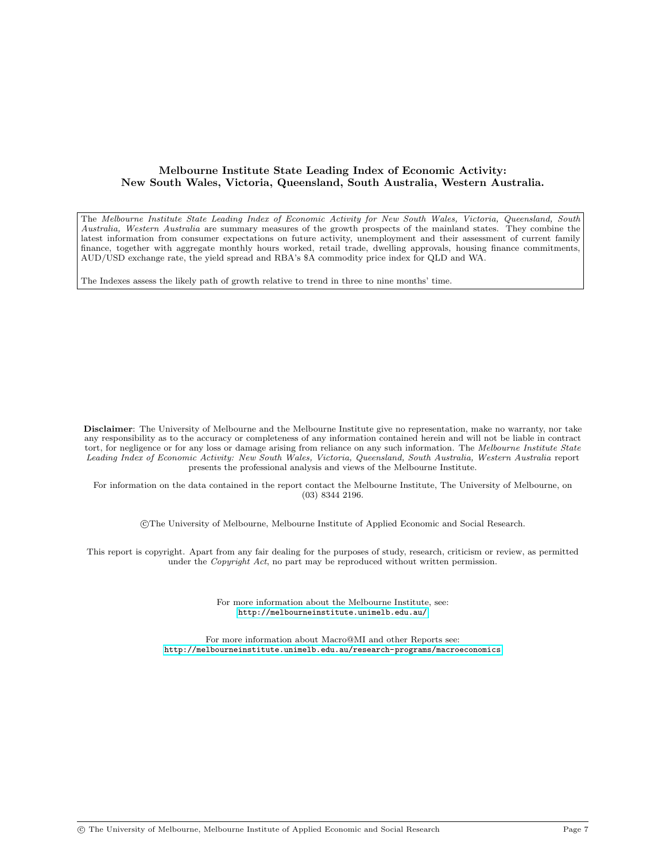#### Melbourne Institute State Leading Index of Economic Activity: New South Wales, Victoria, Queensland, South Australia, Western Australia.

The Melbourne Institute State Leading Index of Economic Activity for New South Wales, Victoria, Queensland, South Australia, Western Australia are summary measures of the growth prospects of the mainland states. They combine the latest information from consumer expectations on future activity, unemployment and their assessment of current family finance, together with aggregate monthly hours worked, retail trade, dwelling approvals, housing finance commitments, AUD/USD exchange rate, the yield spread and RBA's \$A commodity price index for QLD and WA.

The Indexes assess the likely path of growth relative to trend in three to nine months' time.

Disclaimer: The University of Melbourne and the Melbourne Institute give no representation, make no warranty, nor take any responsibility as to the accuracy or completeness of any information contained herein and will not be liable in contract tort, for negligence or for any loss or damage arising from reliance on any such information. The Melbourne Institute State Leading Index of Economic Activity: New South Wales, Victoria, Queensland, South Australia, Western Australia report presents the professional analysis and views of the Melbourne Institute.

For information on the data contained in the report contact the Melbourne Institute, The University of Melbourne, on (03) 8344 2196.

c The University of Melbourne, Melbourne Institute of Applied Economic and Social Research.

This report is copyright. Apart from any fair dealing for the purposes of study, research, criticism or review, as permitted under the Copyright Act, no part may be reproduced without written permission.

> For more information about the Melbourne Institute, see: <http://melbourneinstitute.unimelb.edu.au/>

For more information about Macro@MI and other Reports see: <http://melbourneinstitute.unimelb.edu.au/research-programs/macroeconomics>